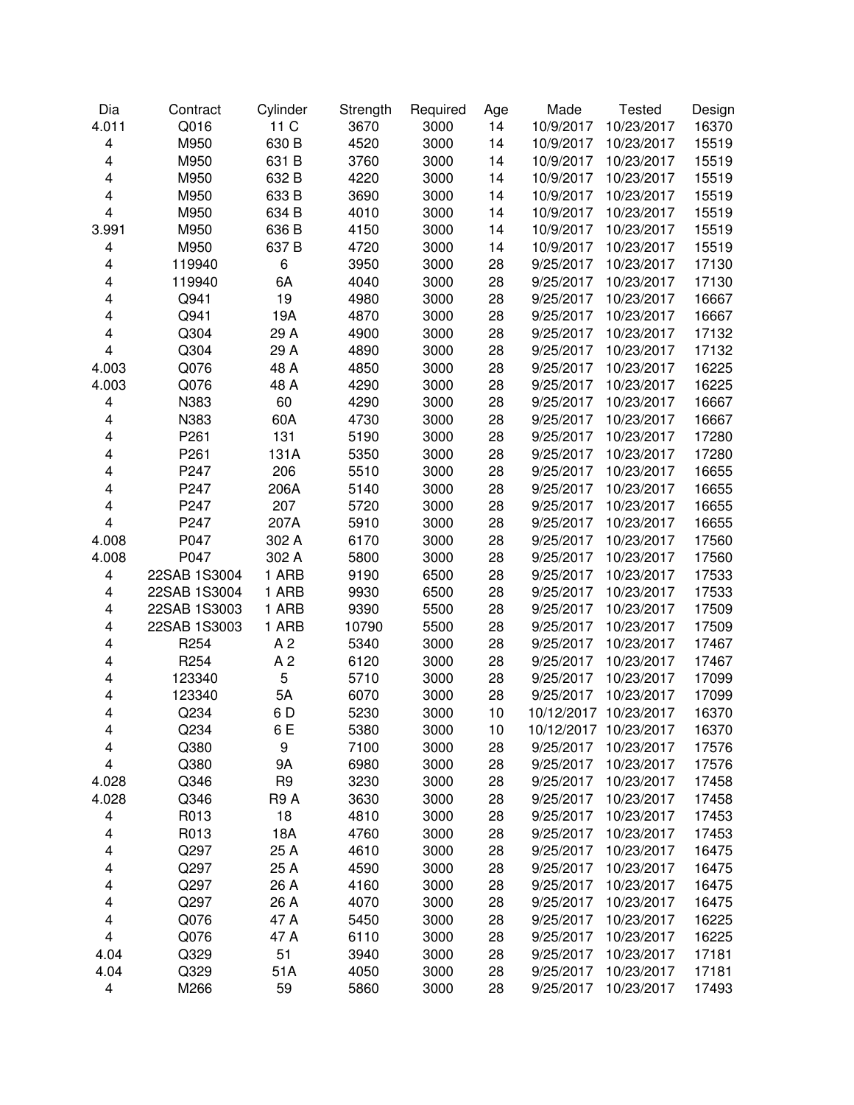| Dia                     | Contract     | Cylinder         | Strength | Required | Age  | Made      | <b>Tested</b>         | Design |
|-------------------------|--------------|------------------|----------|----------|------|-----------|-----------------------|--------|
| 4.011                   | Q016         | 11 C             | 3670     | 3000     | 14   | 10/9/2017 | 10/23/2017            | 16370  |
| 4                       | M950         | 630 B            | 4520     | 3000     | 14   | 10/9/2017 | 10/23/2017            | 15519  |
| 4                       | M950         | 631 B            | 3760     | 3000     | 14   | 10/9/2017 | 10/23/2017            | 15519  |
| 4                       | M950         | 632 B            | 4220     | 3000     | 14   | 10/9/2017 | 10/23/2017            | 15519  |
| 4                       | M950         | 633 B            | 3690     | 3000     | 14   | 10/9/2017 | 10/23/2017            | 15519  |
| $\overline{\mathbf{4}}$ | M950         | 634 B            | 4010     | 3000     | 14   | 10/9/2017 | 10/23/2017            | 15519  |
| 3.991                   | M950         | 636 B            | 4150     | 3000     | 14   | 10/9/2017 | 10/23/2017            | 15519  |
| 4                       | M950         | 637 B            | 4720     | 3000     | 14   | 10/9/2017 | 10/23/2017            | 15519  |
| 4                       | 119940       | 6                | 3950     | 3000     | 28   | 9/25/2017 | 10/23/2017            | 17130  |
| 4                       | 119940       | 6A               | 4040     | 3000     | 28   | 9/25/2017 | 10/23/2017            | 17130  |
| 4                       | Q941         | 19               | 4980     | 3000     | 28   | 9/25/2017 | 10/23/2017            | 16667  |
| 4                       | Q941         | 19A              | 4870     | 3000     | 28   | 9/25/2017 | 10/23/2017            | 16667  |
| 4                       | Q304         | 29 A             | 4900     | 3000     | 28   | 9/25/2017 | 10/23/2017            | 17132  |
| 4                       | Q304         | 29 A             | 4890     | 3000     | 28   | 9/25/2017 | 10/23/2017            | 17132  |
| 4.003                   | Q076         | 48 A             | 4850     | 3000     | 28   | 9/25/2017 | 10/23/2017            | 16225  |
| 4.003                   | Q076         | 48 A             | 4290     | 3000     | 28   | 9/25/2017 | 10/23/2017            | 16225  |
| 4                       | N383         | 60               | 4290     | 3000     | 28   | 9/25/2017 | 10/23/2017            | 16667  |
| 4                       | N383         | 60A              | 4730     | 3000     | 28   | 9/25/2017 | 10/23/2017            | 16667  |
| 4                       | P261         | 131              | 5190     | 3000     | 28   | 9/25/2017 | 10/23/2017            | 17280  |
| 4                       | P261         | 131A             | 5350     | 3000     | 28   | 9/25/2017 | 10/23/2017            | 17280  |
| 4                       | P247         | 206              | 5510     | 3000     | 28   | 9/25/2017 | 10/23/2017            | 16655  |
| 4                       | P247         | 206A             | 5140     | 3000     | 28   | 9/25/2017 | 10/23/2017            | 16655  |
| 4                       | P247         | 207              | 5720     | 3000     | 28   | 9/25/2017 | 10/23/2017            | 16655  |
| 4                       | P247         | 207A             | 5910     | 3000     | 28   | 9/25/2017 | 10/23/2017            | 16655  |
| 4.008                   | P047         | 302 A            | 6170     | 3000     | 28   | 9/25/2017 | 10/23/2017            | 17560  |
| 4.008                   | P047         | 302 A            | 5800     | 3000     | 28   | 9/25/2017 | 10/23/2017            | 17560  |
|                         | 22SAB 1S3004 | 1 ARB            | 9190     | 6500     | 28   | 9/25/2017 | 10/23/2017            | 17533  |
| 4<br>4                  | 22SAB 1S3004 | 1 ARB            | 9930     | 6500     | 28   | 9/25/2017 | 10/23/2017            | 17533  |
|                         |              |                  |          |          |      |           |                       |        |
| 4                       | 22SAB 1S3003 | 1 ARB            | 9390     | 5500     | 28   | 9/25/2017 | 10/23/2017            | 17509  |
| 4                       | 22SAB 1S3003 | 1 ARB            | 10790    | 5500     | 28   | 9/25/2017 | 10/23/2017            | 17509  |
| 4                       | R254         | A <sub>2</sub>   | 5340     | 3000     | 28   | 9/25/2017 | 10/23/2017            | 17467  |
| 4                       | R254         | A <sub>2</sub>   | 6120     | 3000     | 28   | 9/25/2017 | 10/23/2017            | 17467  |
| 4                       | 123340       | 5                | 5710     | 3000     | 28   | 9/25/2017 | 10/23/2017            | 17099  |
| 4                       | 123340       | 5A               | 6070     | 3000     | 28   | 9/25/2017 | 10/23/2017            | 17099  |
| $\overline{\mathbf{4}}$ | Q234         | 6 D              | 5230     | 3000     | 10   |           | 10/12/2017 10/23/2017 | 16370  |
| 4                       | Q234         | 6 E              | 5380     | 3000     | $10$ |           | 10/12/2017 10/23/2017 | 16370  |
| 4                       | Q380         | 9                | 7100     | 3000     | 28   | 9/25/2017 | 10/23/2017            | 17576  |
| $\overline{\mathbf{4}}$ | Q380         | 9A               | 6980     | 3000     | 28   | 9/25/2017 | 10/23/2017            | 17576  |
| 4.028                   | Q346         | R <sub>9</sub>   | 3230     | 3000     | 28   | 9/25/2017 | 10/23/2017            | 17458  |
| 4.028                   | Q346         | R <sub>9</sub> A | 3630     | 3000     | 28   | 9/25/2017 | 10/23/2017            | 17458  |
| 4                       | R013         | 18               | 4810     | 3000     | 28   | 9/25/2017 | 10/23/2017            | 17453  |
| 4                       | R013         | 18A              | 4760     | 3000     | 28   | 9/25/2017 | 10/23/2017            | 17453  |
| 4                       | Q297         | 25 A             | 4610     | 3000     | 28   | 9/25/2017 | 10/23/2017            | 16475  |
| 4                       | Q297         | 25 A             | 4590     | 3000     | 28   | 9/25/2017 | 10/23/2017            | 16475  |
| 4                       | Q297         | 26 A             | 4160     | 3000     | 28   | 9/25/2017 | 10/23/2017            | 16475  |
| 4                       | Q297         | 26 A             | 4070     | 3000     | 28   | 9/25/2017 | 10/23/2017            | 16475  |
| 4                       | Q076         | 47 A             | 5450     | 3000     | 28   | 9/25/2017 | 10/23/2017            | 16225  |
| 4                       | Q076         | 47 A             | 6110     | 3000     | 28   | 9/25/2017 | 10/23/2017            | 16225  |
| 4.04                    | Q329         | 51               | 3940     | 3000     | 28   | 9/25/2017 | 10/23/2017            | 17181  |
| 4.04                    | Q329         | 51A              | 4050     | 3000     | 28   | 9/25/2017 | 10/23/2017            | 17181  |
| 4                       | M266         | 59               | 5860     | 3000     | 28   | 9/25/2017 | 10/23/2017            | 17493  |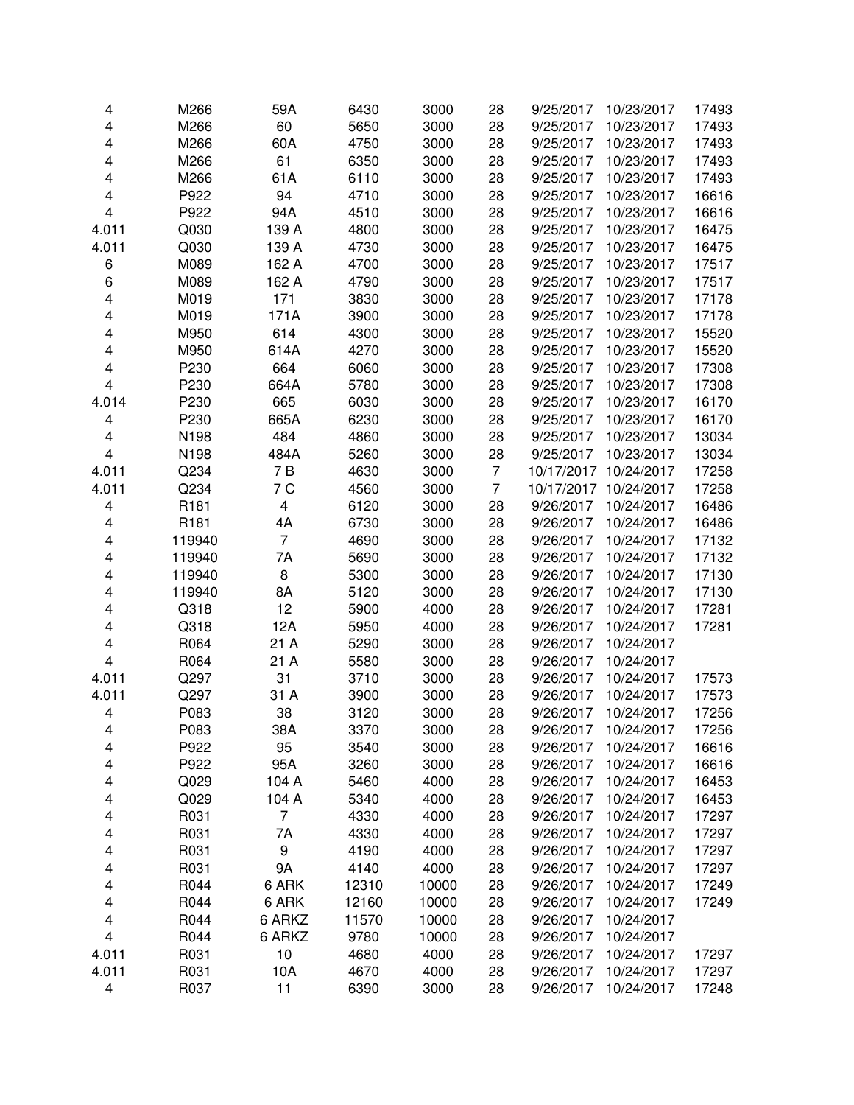| 4                       | M266   | 59A            | 6430  | 3000  | 28             | 9/25/2017  | 10/23/2017 | 17493 |
|-------------------------|--------|----------------|-------|-------|----------------|------------|------------|-------|
| 4                       | M266   | 60             | 5650  | 3000  | 28             | 9/25/2017  | 10/23/2017 | 17493 |
| 4                       | M266   | 60A            | 4750  | 3000  | 28             | 9/25/2017  | 10/23/2017 | 17493 |
| 4                       | M266   | 61             | 6350  | 3000  | 28             | 9/25/2017  | 10/23/2017 | 17493 |
| 4                       | M266   | 61A            | 6110  | 3000  | 28             | 9/25/2017  | 10/23/2017 | 17493 |
| 4                       | P922   | 94             | 4710  | 3000  | 28             | 9/25/2017  | 10/23/2017 | 16616 |
| 4                       | P922   | 94A            | 4510  |       |                | 9/25/2017  | 10/23/2017 |       |
|                         |        |                |       | 3000  | 28             |            |            | 16616 |
| 4.011                   | Q030   | 139 A          | 4800  | 3000  | 28             | 9/25/2017  | 10/23/2017 | 16475 |
| 4.011                   | Q030   | 139 A          | 4730  | 3000  | 28             | 9/25/2017  | 10/23/2017 | 16475 |
| 6                       | M089   | 162 A          | 4700  | 3000  | 28             | 9/25/2017  | 10/23/2017 | 17517 |
| 6                       | M089   | 162 A          | 4790  | 3000  | 28             | 9/25/2017  | 10/23/2017 | 17517 |
| 4                       | M019   | 171            | 3830  | 3000  | 28             | 9/25/2017  | 10/23/2017 | 17178 |
| 4                       | M019   | 171A           | 3900  | 3000  | 28             | 9/25/2017  | 10/23/2017 | 17178 |
| 4                       | M950   | 614            | 4300  | 3000  | 28             | 9/25/2017  | 10/23/2017 | 15520 |
| 4                       | M950   | 614A           | 4270  | 3000  | 28             | 9/25/2017  | 10/23/2017 | 15520 |
| 4                       | P230   | 664            | 6060  | 3000  | 28             | 9/25/2017  | 10/23/2017 | 17308 |
| $\overline{\mathbf{4}}$ | P230   | 664A           | 5780  | 3000  | 28             | 9/25/2017  | 10/23/2017 | 17308 |
| 4.014                   | P230   | 665            | 6030  | 3000  | 28             | 9/25/2017  | 10/23/2017 | 16170 |
| 4                       | P230   | 665A           | 6230  | 3000  | 28             | 9/25/2017  | 10/23/2017 | 16170 |
| 4                       | N198   | 484            | 4860  | 3000  | 28             | 9/25/2017  | 10/23/2017 | 13034 |
| 4                       | N198   | 484A           | 5260  | 3000  | 28             | 9/25/2017  | 10/23/2017 | 13034 |
| 4.011                   | Q234   | 7 B            | 4630  | 3000  | 7              | 10/17/2017 | 10/24/2017 | 17258 |
| 4.011                   | Q234   | 7 C            | 4560  | 3000  | $\overline{7}$ | 10/17/2017 | 10/24/2017 | 17258 |
| 4                       | R181   | 4              | 6120  | 3000  | 28             | 9/26/2017  | 10/24/2017 | 16486 |
| 4                       | R181   | 4A             | 6730  | 3000  | 28             | 9/26/2017  | 10/24/2017 | 16486 |
|                         |        | $\overline{7}$ | 4690  | 3000  | 28             |            | 10/24/2017 | 17132 |
| 4                       | 119940 |                |       |       |                | 9/26/2017  |            |       |
| 4                       | 119940 | 7A             | 5690  | 3000  | 28             | 9/26/2017  | 10/24/2017 | 17132 |
| 4                       | 119940 | 8              | 5300  | 3000  | 28             | 9/26/2017  | 10/24/2017 | 17130 |
| 4                       | 119940 | 8A             | 5120  | 3000  | 28             | 9/26/2017  | 10/24/2017 | 17130 |
| 4                       | Q318   | 12             | 5900  | 4000  | 28             | 9/26/2017  | 10/24/2017 | 17281 |
| 4                       | Q318   | 12A            | 5950  | 4000  | 28             | 9/26/2017  | 10/24/2017 | 17281 |
| 4                       | R064   | 21 A           | 5290  | 3000  | 28             | 9/26/2017  | 10/24/2017 |       |
| 4                       | R064   | 21 A           | 5580  | 3000  | 28             | 9/26/2017  | 10/24/2017 |       |
| 4.011                   | Q297   | 31             | 3710  | 3000  | 28             | 9/26/2017  | 10/24/2017 | 17573 |
| 4.011                   | Q297   | 31 A           | 3900  | 3000  | 28             | 9/26/2017  | 10/24/2017 | 17573 |
| 4                       | P083   | 38             | 3120  | 3000  | 28             | 9/26/2017  | 10/24/2017 | 17256 |
| 4                       | P083   | 38A            | 3370  | 3000  | 28             | 9/26/2017  | 10/24/2017 | 17256 |
| 4                       | P922   | 95             | 3540  | 3000  | 28             | 9/26/2017  | 10/24/2017 | 16616 |
| 4                       | P922   | 95A            | 3260  | 3000  | 28             | 9/26/2017  | 10/24/2017 | 16616 |
| 4                       | Q029   | 104 A          | 5460  | 4000  | 28             | 9/26/2017  | 10/24/2017 | 16453 |
| 4                       | Q029   | 104 A          | 5340  | 4000  | 28             | 9/26/2017  | 10/24/2017 | 16453 |
| 4                       | R031   | $\overline{7}$ | 4330  | 4000  | 28             | 9/26/2017  | 10/24/2017 | 17297 |
| 4                       | R031   | 7A             | 4330  | 4000  | 28             | 9/26/2017  | 10/24/2017 | 17297 |
| 4                       | R031   | 9              | 4190  | 4000  | 28             | 9/26/2017  | 10/24/2017 | 17297 |
| 4                       | R031   | 9Α             | 4140  | 4000  | 28             | 9/26/2017  | 10/24/2017 | 17297 |
| 4                       | R044   | 6 ARK          | 12310 | 10000 | 28             | 9/26/2017  | 10/24/2017 | 17249 |
| 4                       | R044   | 6 ARK          | 12160 | 10000 | 28             | 9/26/2017  | 10/24/2017 | 17249 |
|                         |        |                |       |       |                |            |            |       |
| 4                       | R044   | 6 ARKZ         | 11570 | 10000 | 28             | 9/26/2017  | 10/24/2017 |       |
| 4                       | R044   | 6 ARKZ         | 9780  | 10000 | 28             | 9/26/2017  | 10/24/2017 |       |
| 4.011                   | R031   | 10             | 4680  | 4000  | 28             | 9/26/2017  | 10/24/2017 | 17297 |
| 4.011                   | R031   | 10A            | 4670  | 4000  | 28             | 9/26/2017  | 10/24/2017 | 17297 |
| 4                       | R037   | 11             | 6390  | 3000  | 28             | 9/26/2017  | 10/24/2017 | 17248 |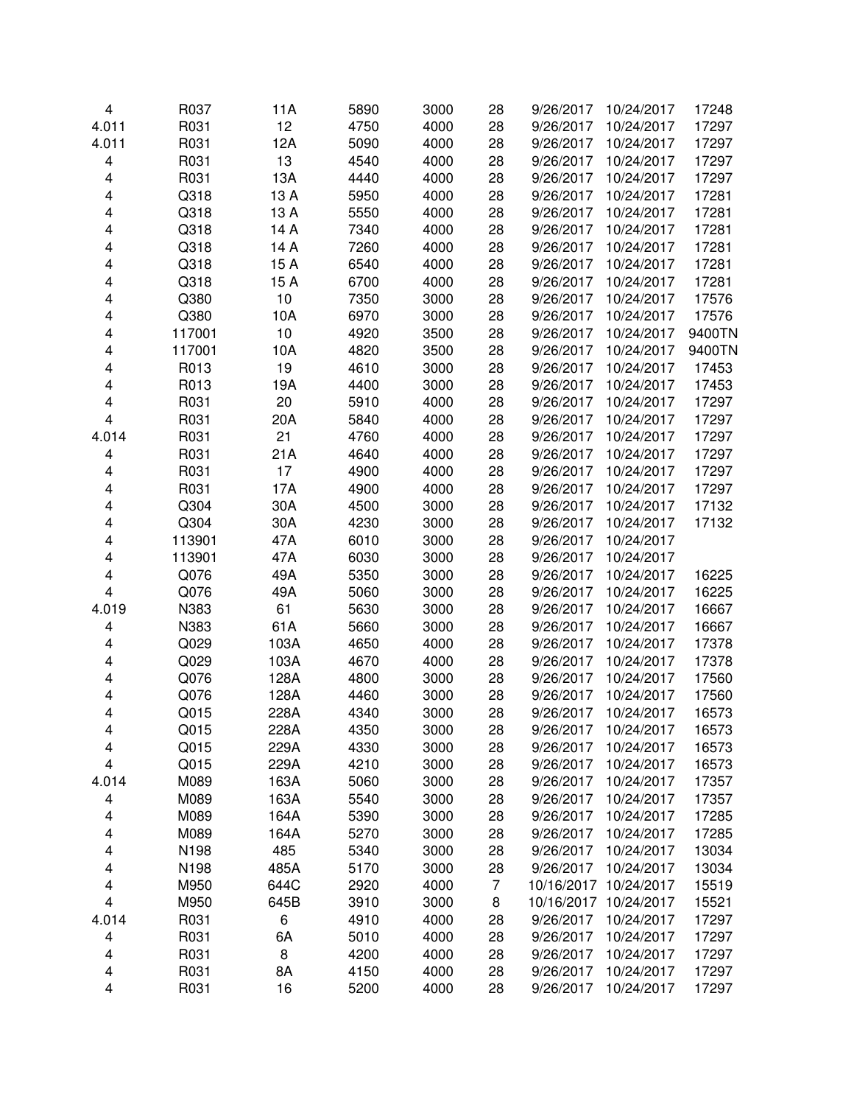| 4                       | R037         | 11A  | 5890 | 3000         | 28             | 9/26/2017  | 10/24/2017               | 17248  |
|-------------------------|--------------|------|------|--------------|----------------|------------|--------------------------|--------|
| 4.011                   | R031         | 12   | 4750 | 4000         | 28             | 9/26/2017  | 10/24/2017               | 17297  |
| 4.011                   | R031         | 12A  | 5090 | 4000         | 28             | 9/26/2017  | 10/24/2017               | 17297  |
| 4                       | R031         | 13   | 4540 | 4000         | 28             | 9/26/2017  | 10/24/2017               | 17297  |
| 4                       | R031         | 13A  | 4440 | 4000         | 28             | 9/26/2017  | 10/24/2017               | 17297  |
| 4                       | Q318         | 13 A | 5950 | 4000         | 28             | 9/26/2017  | 10/24/2017               | 17281  |
| 4                       | Q318         | 13 A | 5550 | 4000         | 28             | 9/26/2017  | 10/24/2017               | 17281  |
| 4                       | Q318         | 14 A | 7340 | 4000         | 28             | 9/26/2017  | 10/24/2017               | 17281  |
| 4                       | Q318         | 14 A | 7260 | 4000         | 28             | 9/26/2017  | 10/24/2017               | 17281  |
| 4                       | Q318         | 15 A | 6540 | 4000         | 28             | 9/26/2017  | 10/24/2017               | 17281  |
| 4                       | Q318         | 15 A | 6700 | 4000         | 28             | 9/26/2017  | 10/24/2017               | 17281  |
| 4                       | Q380         | 10   | 7350 | 3000         | 28             | 9/26/2017  | 10/24/2017               | 17576  |
| 4                       | Q380         | 10A  | 6970 | 3000         | 28             | 9/26/2017  | 10/24/2017               | 17576  |
| 4                       | 117001       | 10   | 4920 | 3500         | 28             | 9/26/2017  | 10/24/2017               | 9400TN |
| 4                       | 117001       | 10A  | 4820 | 3500         | 28             | 9/26/2017  | 10/24/2017               | 9400TN |
| 4                       | R013         | 19   | 4610 | 3000         | 28             | 9/26/2017  | 10/24/2017               | 17453  |
| 4                       | R013         | 19A  | 4400 | 3000         | 28             | 9/26/2017  | 10/24/2017               | 17453  |
| $\overline{\mathbf{4}}$ | R031         | 20   | 5910 | 4000         | 28             | 9/26/2017  | 10/24/2017               | 17297  |
| $\overline{\mathbf{4}}$ | R031         | 20A  | 5840 | 4000         | 28             | 9/26/2017  | 10/24/2017               | 17297  |
| 4.014                   | R031         | 21   | 4760 | 4000         | 28             | 9/26/2017  | 10/24/2017               | 17297  |
| 4                       | R031         | 21A  | 4640 | 4000         | 28             | 9/26/2017  | 10/24/2017               | 17297  |
| 4                       | R031         | 17   | 4900 | 4000         | 28             | 9/26/2017  | 10/24/2017               | 17297  |
| 4                       | R031         | 17A  | 4900 | 4000         | 28             | 9/26/2017  | 10/24/2017               | 17297  |
| 4                       | Q304         | 30A  | 4500 | 3000         | 28             | 9/26/2017  | 10/24/2017               | 17132  |
| 4                       | Q304         | 30A  | 4230 | 3000         | 28             | 9/26/2017  | 10/24/2017               | 17132  |
| 4                       | 113901       | 47A  | 6010 | 3000         | 28             | 9/26/2017  | 10/24/2017               |        |
| 4                       | 113901       | 47A  | 6030 | 3000         | 28             | 9/26/2017  | 10/24/2017               |        |
| 4                       | Q076         | 49A  | 5350 | 3000         | 28             | 9/26/2017  | 10/24/2017               | 16225  |
| 4                       | Q076         | 49A  | 5060 | 3000         | 28             | 9/26/2017  | 10/24/2017               | 16225  |
| 4.019                   | N383         | 61   | 5630 | 3000         | 28             | 9/26/2017  | 10/24/2017               | 16667  |
| 4                       | N383         | 61A  | 5660 | 3000         | 28             | 9/26/2017  | 10/24/2017               | 16667  |
| 4                       | Q029         | 103A | 4650 | 4000         | 28             | 9/26/2017  | 10/24/2017               | 17378  |
| 4                       | Q029         | 103A | 4670 | 4000         | 28             | 9/26/2017  | 10/24/2017               | 17378  |
| 4                       | Q076         | 128A | 4800 | 3000         | 28             | 9/26/2017  | 10/24/2017               | 17560  |
| 4                       | Q076         | 128A | 4460 | 3000         | 28             | 9/26/2017  | 10/24/2017               | 17560  |
| 4                       | Q015         | 228A | 4340 | 3000         | 28             | 9/26/2017  | 10/24/2017               | 16573  |
|                         | Q015         | 228A | 4350 | 3000         | 28             | 9/26/2017  | 10/24/2017               | 16573  |
| 4<br>4                  | Q015         | 229A | 4330 | 3000         | 28             | 9/26/2017  | 10/24/2017               | 16573  |
| 4                       | Q015         | 229A | 4210 | 3000         | 28             | 9/26/2017  | 10/24/2017               | 16573  |
| 4.014                   |              | 163A | 5060 |              |                |            | 10/24/2017               | 17357  |
|                         | M089<br>M089 | 163A |      | 3000<br>3000 | 28             | 9/26/2017  |                          | 17357  |
| 4                       |              |      | 5540 |              | 28             | 9/26/2017  | 10/24/2017<br>10/24/2017 |        |
| 4                       | M089         | 164A | 5390 | 3000         | 28             | 9/26/2017  |                          | 17285  |
| 4                       | M089         | 164A | 5270 | 3000         | 28             | 9/26/2017  | 10/24/2017               | 17285  |
| 4                       | N198         | 485  | 5340 | 3000         | 28             | 9/26/2017  | 10/24/2017               | 13034  |
| 4                       | N198         | 485A | 5170 | 3000         | 28             | 9/26/2017  | 10/24/2017               | 13034  |
| 4                       | M950         | 644C | 2920 | 4000         | $\overline{7}$ | 10/16/2017 | 10/24/2017               | 15519  |
| 4                       | M950         | 645B | 3910 | 3000         | 8              | 10/16/2017 | 10/24/2017               | 15521  |
| 4.014                   | R031         | 6    | 4910 | 4000         | 28             | 9/26/2017  | 10/24/2017               | 17297  |
| 4                       | R031         | 6A   | 5010 | 4000         | 28             | 9/26/2017  | 10/24/2017               | 17297  |
| 4                       | R031         | 8    | 4200 | 4000         | 28             | 9/26/2017  | 10/24/2017               | 17297  |
| 4                       | R031         | 8A   | 4150 | 4000         | 28             | 9/26/2017  | 10/24/2017               | 17297  |
| 4                       | R031         | 16   | 5200 | 4000         | 28             | 9/26/2017  | 10/24/2017               | 17297  |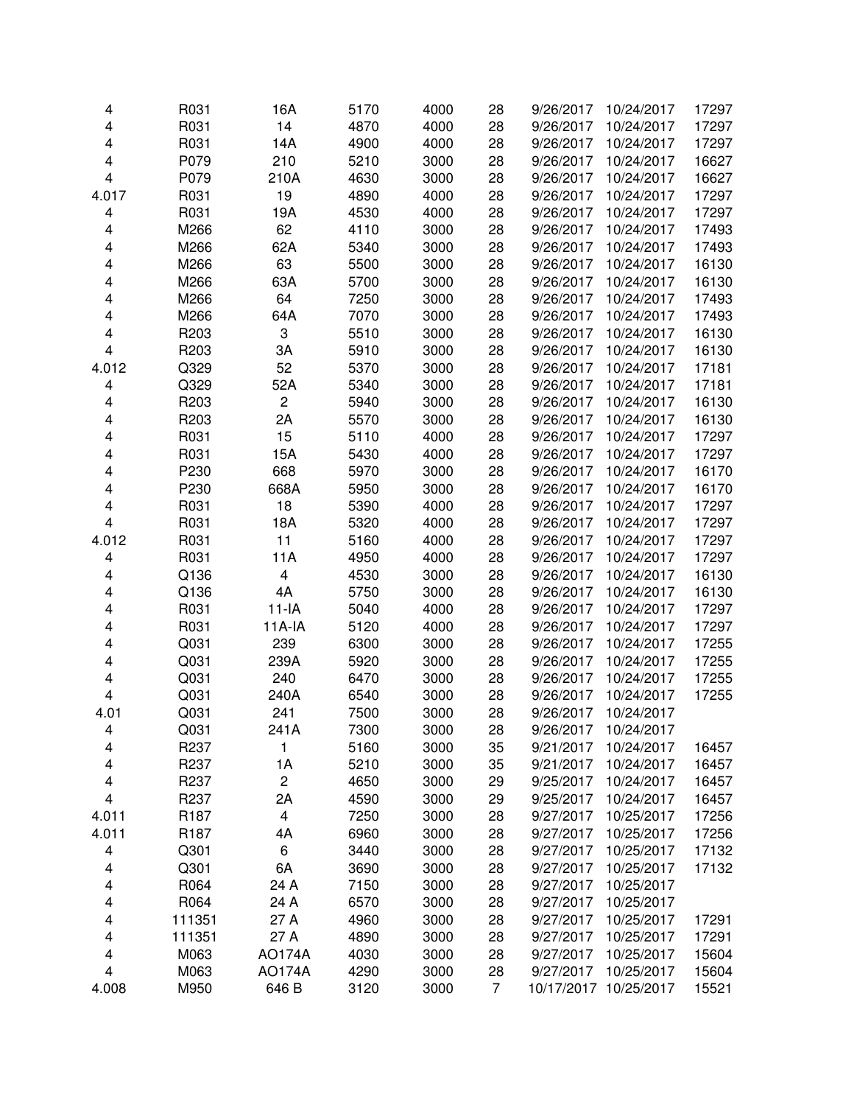| 4                       | R031             | 16A           | 5170 | 4000         | 28             | 9/26/2017              | 10/24/2017               | 17297          |
|-------------------------|------------------|---------------|------|--------------|----------------|------------------------|--------------------------|----------------|
| 4                       | R031             | 14            | 4870 | 4000         | 28             | 9/26/2017              | 10/24/2017               | 17297          |
| 4                       | R031             | 14A           | 4900 | 4000         | 28             | 9/26/2017              | 10/24/2017               | 17297          |
| 4                       | P079             | 210           | 5210 | 3000         | 28             | 9/26/2017              | 10/24/2017               | 16627          |
| $\overline{\mathbf{4}}$ | P079             | 210A          | 4630 | 3000         | 28             | 9/26/2017              | 10/24/2017               | 16627          |
| 4.017                   | R031             | 19            | 4890 | 4000         | 28             | 9/26/2017              | 10/24/2017               | 17297          |
| 4                       | R031             | 19A           | 4530 | 4000         | 28             | 9/26/2017              | 10/24/2017               | 17297          |
| 4                       | M266             | 62            | 4110 | 3000         | 28             | 9/26/2017              | 10/24/2017               | 17493          |
| 4                       | M266             | 62A           | 5340 | 3000         | 28             | 9/26/2017              | 10/24/2017               | 17493          |
| 4                       | M266             | 63            | 5500 | 3000         | 28             | 9/26/2017              | 10/24/2017               | 16130          |
| 4                       | M266             | 63A           | 5700 | 3000         | 28             | 9/26/2017              | 10/24/2017               | 16130          |
| 4                       | M266             | 64            | 7250 | 3000         | 28             | 9/26/2017              | 10/24/2017               | 17493          |
| 4                       | M266             | 64A           | 7070 | 3000         | 28             | 9/26/2017              | 10/24/2017               | 17493          |
| 4                       | R <sub>203</sub> | 3             | 5510 | 3000         | 28             | 9/26/2017              | 10/24/2017               | 16130          |
| 4                       | R203             | 3A            | 5910 | 3000         | 28             | 9/26/2017              | 10/24/2017               | 16130          |
| 4.012                   | Q329             | 52            | 5370 | 3000         | 28             | 9/26/2017              | 10/24/2017               | 17181          |
| 4                       | Q329             | 52A           | 5340 | 3000         | 28             | 9/26/2017              | 10/24/2017               | 17181          |
| 4                       | R203             | 2             | 5940 | 3000         | 28             | 9/26/2017              | 10/24/2017               | 16130          |
| 4                       | R203             | 2A            | 5570 | 3000         | 28             | 9/26/2017              | 10/24/2017               | 16130          |
| 4                       | R031             | 15            | 5110 | 4000         | 28             | 9/26/2017              | 10/24/2017               | 17297          |
| 4                       | R031             | 15A           | 5430 | 4000         | 28             | 9/26/2017              | 10/24/2017               | 17297          |
| 4                       | P230             | 668           | 5970 | 3000         | 28             | 9/26/2017              | 10/24/2017               | 16170          |
| 4                       | P230             | 668A          | 5950 | 3000         | 28             | 9/26/2017              | 10/24/2017               | 16170          |
| 4                       | R031             | 18            | 5390 | 4000         | 28             | 9/26/2017              | 10/24/2017               | 17297          |
| 4                       | R031             | 18A           | 5320 | 4000         | 28             | 9/26/2017              | 10/24/2017               | 17297          |
| 4.012                   | R031             | 11            | 5160 | 4000         | 28             | 9/26/2017              | 10/24/2017               | 17297          |
| 4                       | R031             | 11A           | 4950 | 4000         | 28             | 9/26/2017              | 10/24/2017               | 17297          |
| 4                       | Q136             | 4             | 4530 | 3000         | 28             | 9/26/2017              | 10/24/2017               | 16130          |
| 4                       | Q136             | 4A            | 5750 | 3000         | 28             | 9/26/2017              | 10/24/2017               | 16130          |
| 4                       | R031             | $11-IA$       | 5040 | 4000         | 28             | 9/26/2017              | 10/24/2017               | 17297          |
| 4                       | R031             | $11A-IA$      | 5120 | 4000         | 28             | 9/26/2017              | 10/24/2017               | 17297          |
| 4                       | Q031             | 239           | 6300 | 3000         | 28             | 9/26/2017              | 10/24/2017               | 17255          |
| 4                       | Q031             | 239A          | 5920 | 3000         | 28             | 9/26/2017              | 10/24/2017               | 17255          |
| 4                       | Q031             | 240           | 6470 | 3000         | 28             | 9/26/2017              | 10/24/2017               | 17255          |
| 4                       | Q031             | 240A          | 6540 | 3000         | 28             | 9/26/2017              | 10/24/2017               | 17255          |
| 4.01                    | Q031             | 241           | 7500 | 3000         | 28             | 9/26/2017              | 10/24/2017               |                |
|                         | Q031             | 241A          | 7300 | 3000         | 28             | 9/26/2017              | 10/24/2017               |                |
| 4<br>4                  | R237             | 1             | 5160 | 3000         | 35             | 9/21/2017              | 10/24/2017               | 16457          |
| 4                       | R237             | 1A            | 5210 | 3000         | 35             | 9/21/2017              | 10/24/2017               | 16457          |
| 4                       | R237             | 2             | 4650 | 3000         | 29             | 9/25/2017              | 10/24/2017               | 16457          |
| 4                       | R237             | 2A            | 4590 | 3000         | 29             | 9/25/2017              | 10/24/2017               | 16457          |
|                         | R187             | 4             | 7250 | 3000         | 28             | 9/27/2017              |                          | 17256          |
| 4.011<br>4.011          |                  |               | 6960 | 3000         |                |                        | 10/25/2017               | 17256          |
|                         | R <sub>187</sub> | 4A<br>6       | 3440 |              | 28             | 9/27/2017              | 10/25/2017<br>10/25/2017 |                |
| 4                       | Q301<br>Q301     | 6A            | 3690 | 3000<br>3000 | 28<br>28       | 9/27/2017<br>9/27/2017 | 10/25/2017               | 17132<br>17132 |
| 4                       | R064             | 24 A          | 7150 | 3000         | 28             | 9/27/2017              |                          |                |
| 4                       |                  | 24 A          |      |              |                |                        | 10/25/2017               |                |
| 4                       | R064             |               | 6570 | 3000         | 28             | 9/27/2017              | 10/25/2017               |                |
| 4                       | 111351           | 27 A          | 4960 | 3000         | 28             | 9/27/2017              | 10/25/2017               | 17291          |
| 4                       | 111351           | 27 A          | 4890 | 3000         | 28             | 9/27/2017              | 10/25/2017               | 17291          |
| 4                       | M063             | <b>AO174A</b> | 4030 | 3000         | 28             | 9/27/2017              | 10/25/2017               | 15604          |
| 4                       | M063             | <b>AO174A</b> | 4290 | 3000         | 28             | 9/27/2017              | 10/25/2017               | 15604          |
| 4.008                   | M950             | 646 B         | 3120 | 3000         | $\overline{7}$ | 10/17/2017             | 10/25/2017               | 15521          |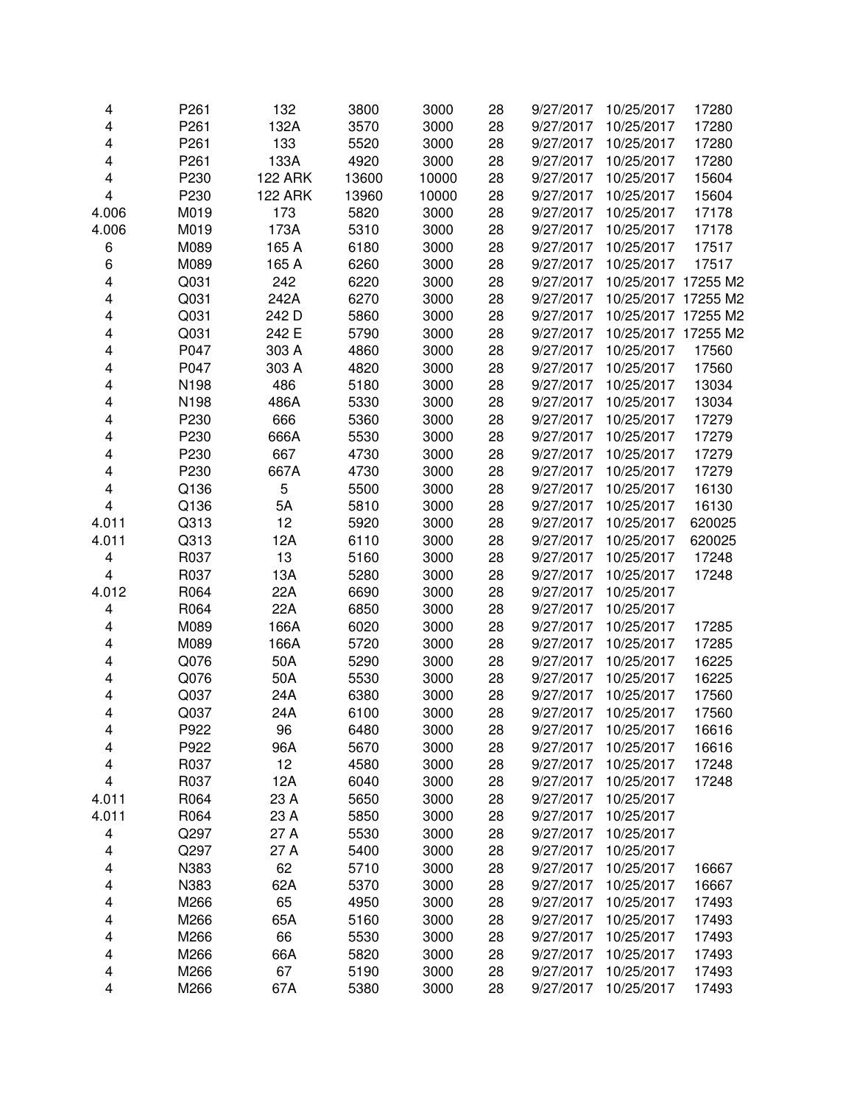| 4     | P261 | 132            | 3800  | 3000  | 28 | 9/27/2017 | 10/25/2017          | 17280  |
|-------|------|----------------|-------|-------|----|-----------|---------------------|--------|
| 4     | P261 | 132A           | 3570  | 3000  | 28 | 9/27/2017 | 10/25/2017          | 17280  |
| 4     | P261 | 133            | 5520  | 3000  | 28 | 9/27/2017 | 10/25/2017          | 17280  |
| 4     | P261 | 133A           | 4920  | 3000  | 28 | 9/27/2017 | 10/25/2017          | 17280  |
| 4     | P230 | <b>122 ARK</b> | 13600 | 10000 | 28 | 9/27/2017 | 10/25/2017          | 15604  |
| 4     | P230 | <b>122 ARK</b> | 13960 | 10000 | 28 | 9/27/2017 | 10/25/2017          | 15604  |
| 4.006 | M019 | 173            | 5820  | 3000  | 28 | 9/27/2017 | 10/25/2017          | 17178  |
| 4.006 | M019 | 173A           | 5310  | 3000  | 28 | 9/27/2017 | 10/25/2017          | 17178  |
| 6     | M089 | 165 A          | 6180  | 3000  | 28 | 9/27/2017 | 10/25/2017          | 17517  |
| 6     | M089 | 165 A          | 6260  | 3000  | 28 | 9/27/2017 | 10/25/2017          | 17517  |
| 4     | Q031 | 242            | 6220  | 3000  | 28 | 9/27/2017 | 10/25/2017 17255 M2 |        |
| 4     | Q031 | 242A           | 6270  | 3000  | 28 | 9/27/2017 | 10/25/2017 17255 M2 |        |
| 4     | Q031 | 242 D          | 5860  | 3000  | 28 | 9/27/2017 | 10/25/2017 17255 M2 |        |
| 4     | Q031 | 242 E          | 5790  | 3000  | 28 | 9/27/2017 | 10/25/2017 17255 M2 |        |
| 4     | P047 | 303 A          | 4860  | 3000  | 28 | 9/27/2017 | 10/25/2017          | 17560  |
| 4     | P047 | 303 A          | 4820  | 3000  | 28 | 9/27/2017 | 10/25/2017          | 17560  |
| 4     | N198 | 486            | 5180  | 3000  | 28 | 9/27/2017 | 10/25/2017          | 13034  |
| 4     | N198 | 486A           | 5330  | 3000  | 28 | 9/27/2017 | 10/25/2017          | 13034  |
| 4     | P230 | 666            | 5360  | 3000  | 28 | 9/27/2017 | 10/25/2017          | 17279  |
| 4     | P230 | 666A           | 5530  | 3000  | 28 | 9/27/2017 | 10/25/2017          | 17279  |
| 4     | P230 | 667            | 4730  | 3000  | 28 | 9/27/2017 | 10/25/2017          | 17279  |
| 4     | P230 | 667A           | 4730  | 3000  | 28 | 9/27/2017 | 10/25/2017          | 17279  |
| 4     | Q136 | 5              | 5500  | 3000  | 28 | 9/27/2017 | 10/25/2017          | 16130  |
| 4     | Q136 | 5A             | 5810  | 3000  | 28 | 9/27/2017 | 10/25/2017          | 16130  |
| 4.011 | Q313 | 12             | 5920  | 3000  | 28 | 9/27/2017 | 10/25/2017          | 620025 |
| 4.011 | Q313 | 12A            | 6110  | 3000  | 28 | 9/27/2017 | 10/25/2017          | 620025 |
| 4     | R037 | 13             | 5160  | 3000  | 28 | 9/27/2017 | 10/25/2017          | 17248  |
| 4     | R037 | 13A            | 5280  | 3000  | 28 | 9/27/2017 | 10/25/2017          | 17248  |
| 4.012 | R064 | 22A            | 6690  | 3000  | 28 | 9/27/2017 | 10/25/2017          |        |
|       | R064 | 22A            | 6850  | 3000  | 28 | 9/27/2017 | 10/25/2017          |        |
| 4     | M089 | 166A           | 6020  | 3000  | 28 | 9/27/2017 | 10/25/2017          | 17285  |
| 4     |      |                |       |       |    |           | 10/25/2017          | 17285  |
| 4     | M089 | 166A           | 5720  | 3000  | 28 | 9/27/2017 |                     |        |
| 4     | Q076 | 50A            | 5290  | 3000  | 28 | 9/27/2017 | 10/25/2017          | 16225  |
| 4     | Q076 | 50A            | 5530  | 3000  | 28 | 9/27/2017 | 10/25/2017          | 16225  |
| 4     | Q037 | 24A            | 6380  | 3000  | 28 | 9/27/2017 | 10/25/2017          | 17560  |
| 4     | Q037 | 24A            | 6100  | 3000  | 28 | 9/27/2017 | 10/25/2017          | 17560  |
| 4     | P922 | 96             | 6480  | 3000  | 28 | 9/27/2017 | 10/25/2017          | 16616  |
| 4     | P922 | 96A            | 5670  | 3000  | 28 | 9/27/2017 | 10/25/2017          | 16616  |
| 4     | R037 | 12             | 4580  | 3000  | 28 | 9/27/2017 | 10/25/2017          | 17248  |
| 4     | R037 | 12A            | 6040  | 3000  | 28 | 9/27/2017 | 10/25/2017          | 17248  |
| 4.011 | R064 | 23 A           | 5650  | 3000  | 28 | 9/27/2017 | 10/25/2017          |        |
| 4.011 | R064 | 23 A           | 5850  | 3000  | 28 | 9/27/2017 | 10/25/2017          |        |
| 4     | Q297 | 27 A           | 5530  | 3000  | 28 | 9/27/2017 | 10/25/2017          |        |
| 4     | Q297 | 27 A           | 5400  | 3000  | 28 | 9/27/2017 | 10/25/2017          |        |
| 4     | N383 | 62             | 5710  | 3000  | 28 | 9/27/2017 | 10/25/2017          | 16667  |
| 4     | N383 | 62A            | 5370  | 3000  | 28 | 9/27/2017 | 10/25/2017          | 16667  |
| 4     | M266 | 65             | 4950  | 3000  | 28 | 9/27/2017 | 10/25/2017          | 17493  |
| 4     | M266 | 65A            | 5160  | 3000  | 28 | 9/27/2017 | 10/25/2017          | 17493  |
| 4     | M266 | 66             | 5530  | 3000  | 28 | 9/27/2017 | 10/25/2017          | 17493  |
| 4     | M266 | 66A            | 5820  | 3000  | 28 | 9/27/2017 | 10/25/2017          | 17493  |
| 4     | M266 | 67             | 5190  | 3000  | 28 | 9/27/2017 | 10/25/2017          | 17493  |
| 4     | M266 | 67A            | 5380  | 3000  | 28 | 9/27/2017 | 10/25/2017          | 17493  |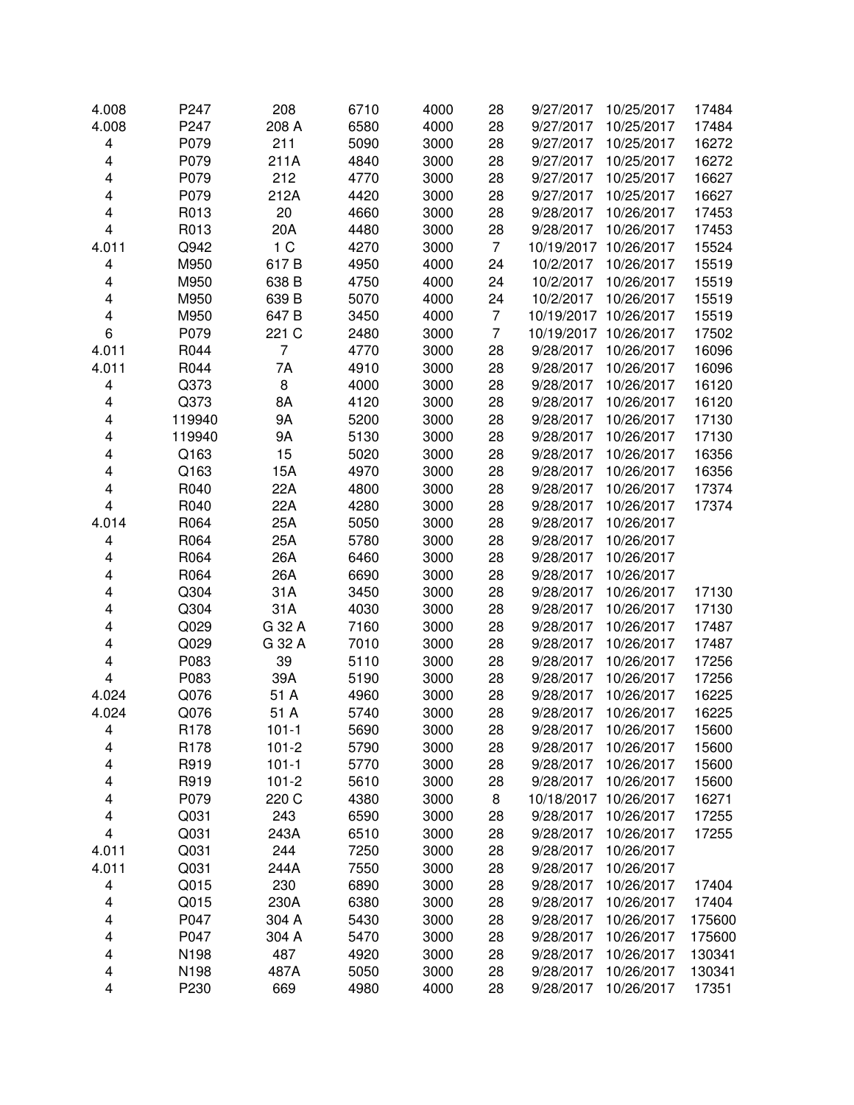| 4.008          | P247         | 208            | 6710 | 4000 | 28             | 9/27/2017  | 10/25/2017 | 17484          |
|----------------|--------------|----------------|------|------|----------------|------------|------------|----------------|
| 4.008          | P247         | 208 A          | 6580 | 4000 | 28             | 9/27/2017  | 10/25/2017 | 17484          |
| 4              | P079         | 211            | 5090 | 3000 | 28             | 9/27/2017  | 10/25/2017 | 16272          |
| 4              | P079         | 211A           | 4840 | 3000 | 28             | 9/27/2017  | 10/25/2017 | 16272          |
| 4              | P079         | 212            | 4770 | 3000 | 28             | 9/27/2017  | 10/25/2017 | 16627          |
| 4              | P079         | 212A           | 4420 | 3000 | 28             | 9/27/2017  | 10/25/2017 | 16627          |
| 4              | R013         | 20             | 4660 | 3000 | 28             | 9/28/2017  | 10/26/2017 | 17453          |
| 4              | R013         | 20A            | 4480 | 3000 | 28             | 9/28/2017  | 10/26/2017 | 17453          |
| 4.011          | Q942         | 1 <sup>C</sup> | 4270 | 3000 | $\overline{7}$ | 10/19/2017 | 10/26/2017 | 15524          |
| 4              | M950         | 617B           | 4950 | 4000 | 24             | 10/2/2017  | 10/26/2017 | 15519          |
| 4              | M950         | 638 B          | 4750 | 4000 | 24             | 10/2/2017  | 10/26/2017 | 15519          |
| 4              | M950         | 639 B          | 5070 | 4000 | 24             | 10/2/2017  | 10/26/2017 | 15519          |
| 4              | M950         | 647 B          | 3450 | 4000 | $\overline{7}$ | 10/19/2017 | 10/26/2017 | 15519          |
| 6              | P079         | 221 C          | 2480 | 3000 | $\overline{7}$ | 10/19/2017 | 10/26/2017 | 17502          |
| 4.011          | R044         | $\overline{7}$ | 4770 | 3000 | 28             | 9/28/2017  | 10/26/2017 | 16096          |
| 4.011          | R044         | 7A             | 4910 | 3000 | 28             | 9/28/2017  | 10/26/2017 | 16096          |
| 4              | Q373         | 8              | 4000 | 3000 | 28             | 9/28/2017  | 10/26/2017 | 16120          |
| 4              | Q373         | 8A             | 4120 | 3000 | 28             | 9/28/2017  | 10/26/2017 | 16120          |
| 4              | 119940       | <b>9A</b>      | 5200 | 3000 | 28             | 9/28/2017  | 10/26/2017 | 17130          |
| 4              | 119940       | <b>9A</b>      | 5130 | 3000 | 28             | 9/28/2017  | 10/26/2017 | 17130          |
| 4              | Q163         | 15             | 5020 | 3000 | 28             | 9/28/2017  | 10/26/2017 | 16356          |
| 4              | Q163         | 15A            | 4970 | 3000 | 28             | 9/28/2017  | 10/26/2017 | 16356          |
| 4              | R040         | 22A            | 4800 | 3000 | 28             | 9/28/2017  | 10/26/2017 | 17374          |
| 4              | R040         | 22A            | 4280 | 3000 | 28             | 9/28/2017  | 10/26/2017 | 17374          |
| 4.014          | R064         | 25A            | 5050 | 3000 | 28             | 9/28/2017  | 10/26/2017 |                |
| 4              | R064         | 25A            | 5780 | 3000 | 28             | 9/28/2017  | 10/26/2017 |                |
| 4              | R064         | 26A            | 6460 | 3000 | 28             | 9/28/2017  | 10/26/2017 |                |
| 4              | R064         | 26A            | 6690 | 3000 | 28             | 9/28/2017  | 10/26/2017 |                |
| 4              | Q304         | 31A            | 3450 | 3000 | 28             | 9/28/2017  | 10/26/2017 | 17130          |
| 4              | Q304         | 31A            | 4030 | 3000 | 28             | 9/28/2017  | 10/26/2017 | 17130          |
| 4              | Q029         | G 32 A         | 7160 | 3000 | 28             | 9/28/2017  | 10/26/2017 | 17487          |
| 4              | Q029         | G 32 A         | 7010 | 3000 | 28             | 9/28/2017  | 10/26/2017 | 17487          |
| 4              | P083         | 39             | 5110 | 3000 | 28             | 9/28/2017  | 10/26/2017 | 17256          |
| 4              | P083         | 39A            | 5190 | 3000 | 28             | 9/28/2017  | 10/26/2017 | 17256          |
|                |              | 51 A           | 4960 |      | 28             | 9/28/2017  | 10/26/2017 |                |
| 4.024<br>4.024 | Q076<br>Q076 | 51 A           | 5740 | 3000 | 28             | 9/28/2017  | 10/26/2017 | 16225<br>16225 |
|                |              | $101 - 1$      |      | 3000 |                |            |            |                |
| 4              | R178         |                | 5690 | 3000 | 28             | 9/28/2017  | 10/26/2017 | 15600          |
| 4              | R178         | $101 - 2$      | 5790 | 3000 | 28             | 9/28/2017  | 10/26/2017 | 15600          |
| 4              | R919         | $101 - 1$      | 5770 | 3000 | 28             | 9/28/2017  | 10/26/2017 | 15600          |
| 4              | R919         | $101 - 2$      | 5610 | 3000 | 28             | 9/28/2017  | 10/26/2017 | 15600          |
| 4              | P079         | 220 C          | 4380 | 3000 | 8              | 10/18/2017 | 10/26/2017 | 16271          |
| 4              | Q031         | 243            | 6590 | 3000 | 28             | 9/28/2017  | 10/26/2017 | 17255          |
| 4              | Q031         | 243A           | 6510 | 3000 | 28             | 9/28/2017  | 10/26/2017 | 17255          |
| 4.011          | Q031         | 244            | 7250 | 3000 | 28             | 9/28/2017  | 10/26/2017 |                |
| 4.011          | Q031         | 244A           | 7550 | 3000 | 28             | 9/28/2017  | 10/26/2017 |                |
| 4              | Q015         | 230            | 6890 | 3000 | 28             | 9/28/2017  | 10/26/2017 | 17404          |
| 4              | Q015         | 230A           | 6380 | 3000 | 28             | 9/28/2017  | 10/26/2017 | 17404          |
| 4              | P047         | 304 A          | 5430 | 3000 | 28             | 9/28/2017  | 10/26/2017 | 175600         |
| 4              | P047         | 304 A          | 5470 | 3000 | 28             | 9/28/2017  | 10/26/2017 | 175600         |
| 4              | N198         | 487            | 4920 | 3000 | 28             | 9/28/2017  | 10/26/2017 | 130341         |
| 4              | N198         | 487A           | 5050 | 3000 | 28             | 9/28/2017  | 10/26/2017 | 130341         |
| 4              | P230         | 669            | 4980 | 4000 | 28             | 9/28/2017  | 10/26/2017 | 17351          |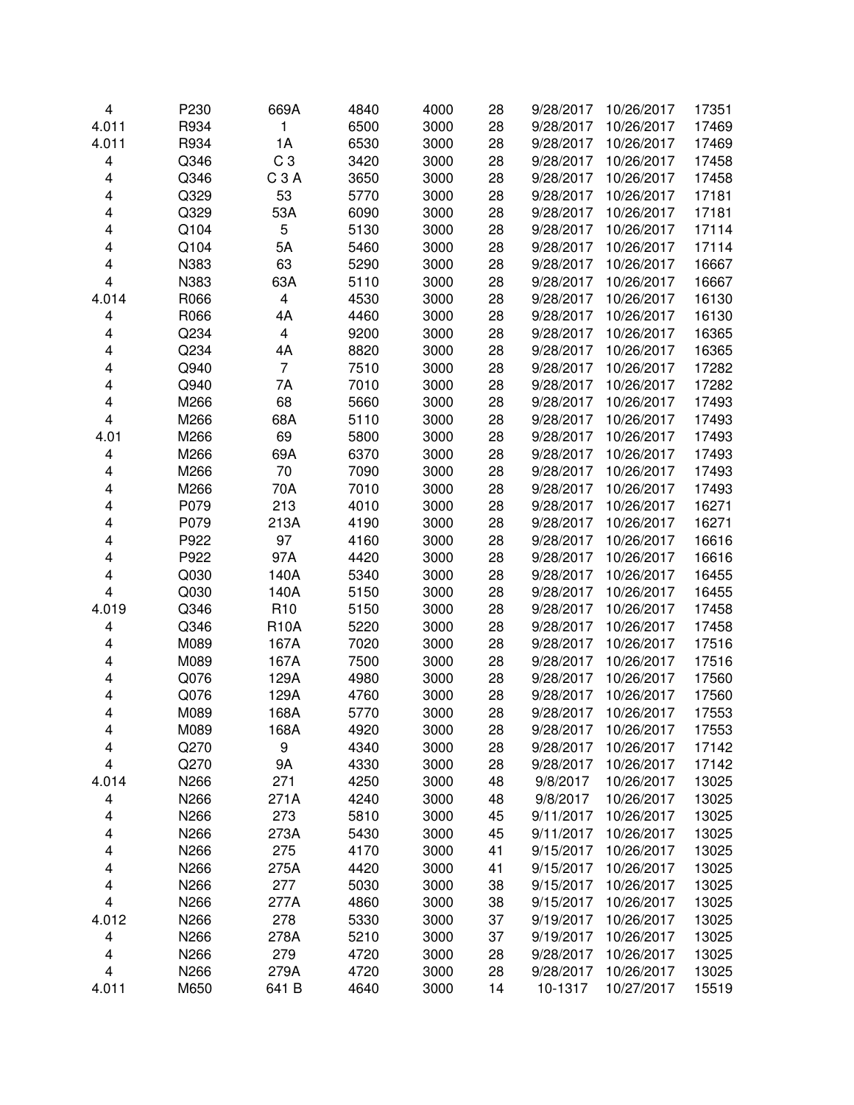| 4                       | P230 | 669A             | 4840 | 4000 | 28 | 9/28/2017 | 10/26/2017 | 17351 |
|-------------------------|------|------------------|------|------|----|-----------|------------|-------|
| 4.011                   | R934 | 1                | 6500 | 3000 | 28 | 9/28/2017 | 10/26/2017 | 17469 |
| 4.011                   | R934 | 1A               | 6530 | 3000 | 28 | 9/28/2017 | 10/26/2017 | 17469 |
| 4                       | Q346 | C <sub>3</sub>   | 3420 | 3000 | 28 | 9/28/2017 | 10/26/2017 | 17458 |
| 4                       | Q346 | C <sub>3</sub> A | 3650 | 3000 | 28 | 9/28/2017 | 10/26/2017 | 17458 |
| 4                       | Q329 | 53               | 5770 | 3000 | 28 | 9/28/2017 | 10/26/2017 | 17181 |
| 4                       | Q329 | 53A              | 6090 | 3000 | 28 | 9/28/2017 | 10/26/2017 | 17181 |
| 4                       | Q104 | 5                | 5130 | 3000 | 28 | 9/28/2017 | 10/26/2017 | 17114 |
| 4                       | Q104 | 5A               | 5460 | 3000 | 28 | 9/28/2017 | 10/26/2017 | 17114 |
| 4                       | N383 | 63               | 5290 | 3000 | 28 | 9/28/2017 | 10/26/2017 | 16667 |
| 4                       | N383 | 63A              | 5110 | 3000 | 28 | 9/28/2017 | 10/26/2017 | 16667 |
| 4.014                   | R066 | 4                | 4530 | 3000 | 28 | 9/28/2017 | 10/26/2017 | 16130 |
| 4                       | R066 | 4A               | 4460 | 3000 | 28 | 9/28/2017 | 10/26/2017 | 16130 |
| 4                       | Q234 | 4                | 9200 | 3000 | 28 | 9/28/2017 | 10/26/2017 | 16365 |
| 4                       | Q234 | 4A               | 8820 | 3000 | 28 | 9/28/2017 | 10/26/2017 | 16365 |
| 4                       | Q940 | 7                | 7510 | 3000 | 28 | 9/28/2017 | 10/26/2017 | 17282 |
| 4                       | Q940 | 7A               | 7010 | 3000 | 28 | 9/28/2017 | 10/26/2017 | 17282 |
| 4                       | M266 | 68               | 5660 | 3000 | 28 | 9/28/2017 | 10/26/2017 | 17493 |
| $\overline{\mathbf{4}}$ | M266 | 68A              | 5110 | 3000 | 28 | 9/28/2017 | 10/26/2017 | 17493 |
| 4.01                    | M266 | 69               | 5800 | 3000 | 28 | 9/28/2017 | 10/26/2017 | 17493 |
|                         |      | 69A              | 6370 |      | 28 |           |            | 17493 |
| 4                       | M266 |                  |      | 3000 |    | 9/28/2017 | 10/26/2017 |       |
| 4                       | M266 | 70               | 7090 | 3000 | 28 | 9/28/2017 | 10/26/2017 | 17493 |
| 4                       | M266 | 70A              | 7010 | 3000 | 28 | 9/28/2017 | 10/26/2017 | 17493 |
| 4                       | P079 | 213              | 4010 | 3000 | 28 | 9/28/2017 | 10/26/2017 | 16271 |
| 4                       | P079 | 213A             | 4190 | 3000 | 28 | 9/28/2017 | 10/26/2017 | 16271 |
| 4                       | P922 | 97               | 4160 | 3000 | 28 | 9/28/2017 | 10/26/2017 | 16616 |
| 4                       | P922 | 97A              | 4420 | 3000 | 28 | 9/28/2017 | 10/26/2017 | 16616 |
| 4                       | Q030 | 140A             | 5340 | 3000 | 28 | 9/28/2017 | 10/26/2017 | 16455 |
| 4                       | Q030 | 140A             | 5150 | 3000 | 28 | 9/28/2017 | 10/26/2017 | 16455 |
| 4.019                   | Q346 | R <sub>10</sub>  | 5150 | 3000 | 28 | 9/28/2017 | 10/26/2017 | 17458 |
| 4                       | Q346 | <b>R10A</b>      | 5220 | 3000 | 28 | 9/28/2017 | 10/26/2017 | 17458 |
| 4                       | M089 | 167A             | 7020 | 3000 | 28 | 9/28/2017 | 10/26/2017 | 17516 |
| 4                       | M089 | 167A             | 7500 | 3000 | 28 | 9/28/2017 | 10/26/2017 | 17516 |
| 4                       | Q076 | 129A             | 4980 | 3000 | 28 | 9/28/2017 | 10/26/2017 | 17560 |
| 4                       | Q076 | 129A             | 4760 | 3000 | 28 | 9/28/2017 | 10/26/2017 | 17560 |
| 4                       | M089 | 168A             | 5770 | 3000 | 28 | 9/28/2017 | 10/26/2017 | 17553 |
| 4                       | M089 | 168A             | 4920 | 3000 | 28 | 9/28/2017 | 10/26/2017 | 17553 |
| 4                       | Q270 | 9                | 4340 | 3000 | 28 | 9/28/2017 | 10/26/2017 | 17142 |
| $\overline{\mathbf{4}}$ | Q270 | <b>9A</b>        | 4330 | 3000 | 28 | 9/28/2017 | 10/26/2017 | 17142 |
| 4.014                   | N266 | 271              | 4250 | 3000 | 48 | 9/8/2017  | 10/26/2017 | 13025 |
| 4                       | N266 | 271A             | 4240 | 3000 | 48 | 9/8/2017  | 10/26/2017 | 13025 |
| 4                       | N266 | 273              | 5810 | 3000 | 45 | 9/11/2017 | 10/26/2017 | 13025 |
| 4                       | N266 | 273A             | 5430 | 3000 | 45 | 9/11/2017 | 10/26/2017 | 13025 |
| 4                       | N266 | 275              | 4170 | 3000 | 41 | 9/15/2017 | 10/26/2017 | 13025 |
| 4                       | N266 | 275A             | 4420 | 3000 | 41 | 9/15/2017 | 10/26/2017 | 13025 |
| 4                       | N266 | 277              | 5030 | 3000 | 38 | 9/15/2017 | 10/26/2017 | 13025 |
| 4                       | N266 | 277A             | 4860 | 3000 | 38 | 9/15/2017 | 10/26/2017 | 13025 |
| 4.012                   | N266 | 278              | 5330 | 3000 | 37 | 9/19/2017 | 10/26/2017 | 13025 |
| 4                       | N266 | 278A             | 5210 | 3000 | 37 | 9/19/2017 | 10/26/2017 | 13025 |
| 4                       | N266 | 279              | 4720 | 3000 | 28 | 9/28/2017 | 10/26/2017 | 13025 |
| 4                       | N266 | 279A             | 4720 | 3000 | 28 | 9/28/2017 | 10/26/2017 | 13025 |
|                         |      |                  |      |      |    |           |            |       |
| 4.011                   | M650 | 641 B            | 4640 | 3000 | 14 | 10-1317   | 10/27/2017 | 15519 |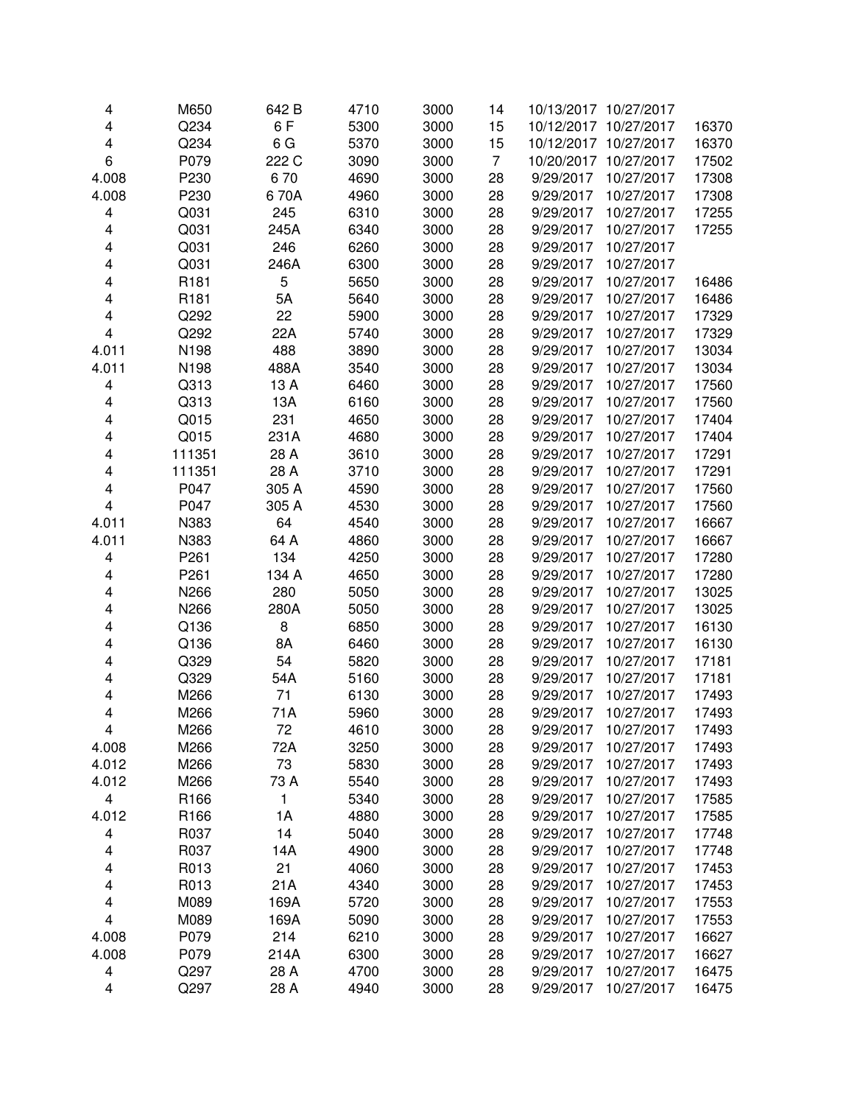| 4                       | M650             | 642 B          | 4710 | 3000 | 14             |            | 10/13/2017 10/27/2017 |       |
|-------------------------|------------------|----------------|------|------|----------------|------------|-----------------------|-------|
| 4                       | Q234             | 6F             | 5300 | 3000 | 15             | 10/12/2017 | 10/27/2017            | 16370 |
| 4                       | Q234             | 6 <sub>G</sub> | 5370 | 3000 | 15             | 10/12/2017 | 10/27/2017            | 16370 |
| 6                       | P079             | 222 C          | 3090 | 3000 | $\overline{7}$ | 10/20/2017 | 10/27/2017            | 17502 |
| 4.008                   | P230             | 670            | 4690 | 3000 | 28             | 9/29/2017  | 10/27/2017            | 17308 |
| 4.008                   | P230             | 670A           | 4960 | 3000 | 28             | 9/29/2017  | 10/27/2017            | 17308 |
| 4                       | Q031             | 245            | 6310 | 3000 | 28             | 9/29/2017  | 10/27/2017            | 17255 |
| 4                       | Q031             | 245A           | 6340 | 3000 | 28             | 9/29/2017  | 10/27/2017            | 17255 |
| 4                       | Q031             | 246            | 6260 | 3000 | 28             | 9/29/2017  | 10/27/2017            |       |
| 4                       | Q031             | 246A           | 6300 | 3000 | 28             | 9/29/2017  | 10/27/2017            |       |
| 4                       | R181             | 5              | 5650 | 3000 | 28             | 9/29/2017  | 10/27/2017            | 16486 |
| 4                       | R <sub>181</sub> | 5A             | 5640 | 3000 | 28             | 9/29/2017  | 10/27/2017            | 16486 |
| 4                       | Q292             | 22             | 5900 | 3000 | 28             | 9/29/2017  | 10/27/2017            | 17329 |
| 4                       | Q292             | 22A            | 5740 | 3000 | 28             | 9/29/2017  | 10/27/2017            | 17329 |
| 4.011                   | N198             | 488            | 3890 | 3000 | 28             | 9/29/2017  | 10/27/2017            | 13034 |
| 4.011                   | N198             | 488A           | 3540 | 3000 | 28             | 9/29/2017  | 10/27/2017            | 13034 |
| 4                       | Q313             | 13 A           | 6460 | 3000 | 28             | 9/29/2017  | 10/27/2017            | 17560 |
| 4                       | Q313             | 13A            | 6160 | 3000 | 28             | 9/29/2017  | 10/27/2017            | 17560 |
| 4                       | Q015             | 231            | 4650 | 3000 | 28             | 9/29/2017  | 10/27/2017            | 17404 |
| 4                       | Q015             | 231A           | 4680 | 3000 | 28             | 9/29/2017  | 10/27/2017            | 17404 |
| 4                       | 111351           | 28 A           | 3610 | 3000 | 28             | 9/29/2017  | 10/27/2017            | 17291 |
| 4                       | 111351           | 28 A           | 3710 | 3000 | 28             | 9/29/2017  | 10/27/2017            | 17291 |
| 4                       | P047             | 305 A          | 4590 | 3000 | 28             | 9/29/2017  | 10/27/2017            | 17560 |
| 4                       | P047             | 305 A          | 4530 | 3000 | 28             | 9/29/2017  | 10/27/2017            | 17560 |
| 4.011                   | N383             | 64             | 4540 | 3000 | 28             | 9/29/2017  | 10/27/2017            | 16667 |
| 4.011                   | N383             | 64 A           | 4860 | 3000 | 28             | 9/29/2017  | 10/27/2017            | 16667 |
| 4                       | P <sub>261</sub> | 134            | 4250 | 3000 | 28             | 9/29/2017  | 10/27/2017            | 17280 |
| 4                       | P261             | 134 A          | 4650 | 3000 | 28             | 9/29/2017  | 10/27/2017            | 17280 |
| 4                       | N266             | 280            | 5050 | 3000 | 28             | 9/29/2017  | 10/27/2017            | 13025 |
| 4                       | N266             | 280A           | 5050 | 3000 | 28             | 9/29/2017  | 10/27/2017            | 13025 |
| 4                       | Q136             | 8              | 6850 | 3000 | 28             | 9/29/2017  | 10/27/2017            | 16130 |
| 4                       | Q136             | 8A             | 6460 | 3000 | 28             | 9/29/2017  | 10/27/2017            | 16130 |
| 4                       | Q329             | 54             | 5820 | 3000 | 28             | 9/29/2017  | 10/27/2017            | 17181 |
| 4                       | Q329             | 54A            | 5160 | 3000 | 28             | 9/29/2017  | 10/27/2017            | 17181 |
| 4                       | M266             | 71             | 6130 | 3000 | 28             | 9/29/2017  | 10/27/2017            | 17493 |
| 4                       | M266             | 71A            | 5960 | 3000 | 28             | 9/29/2017  | 10/27/2017            | 17493 |
| 4                       | M266             | 72             | 4610 | 3000 | 28             | 9/29/2017  | 10/27/2017            | 17493 |
| 4.008                   | M266             | 72A            | 3250 | 3000 | 28             | 9/29/2017  | 10/27/2017            | 17493 |
| 4.012                   | M266             | 73             | 5830 | 3000 | 28             | 9/29/2017  | 10/27/2017            | 17493 |
| 4.012                   | M266             | 73 A           | 5540 | 3000 | 28             | 9/29/2017  | 10/27/2017            | 17493 |
| 4                       | R166             | 1              | 5340 | 3000 | 28             | 9/29/2017  | 10/27/2017            | 17585 |
| 4.012                   | R166             | 1A             | 4880 | 3000 | 28             | 9/29/2017  | 10/27/2017            | 17585 |
| 4                       | R037             | 14             | 5040 | 3000 | 28             | 9/29/2017  | 10/27/2017            | 17748 |
| 4                       | R037             | 14A            | 4900 | 3000 | 28             | 9/29/2017  | 10/27/2017            | 17748 |
| 4                       | R013             | 21             | 4060 | 3000 | 28             | 9/29/2017  | 10/27/2017            | 17453 |
| 4                       | R013             | 21A            | 4340 | 3000 | 28             | 9/29/2017  | 10/27/2017            | 17453 |
| 4                       | M089             | 169A           | 5720 | 3000 | 28             | 9/29/2017  | 10/27/2017            | 17553 |
| 4                       | M089             | 169A           | 5090 | 3000 | 28             | 9/29/2017  | 10/27/2017            | 17553 |
| 4.008                   | P079             | 214            | 6210 | 3000 | 28             | 9/29/2017  | 10/27/2017            | 16627 |
| 4.008                   | P079             | 214A           | 6300 | 3000 | 28             | 9/29/2017  | 10/27/2017            | 16627 |
| 4                       | Q297             | 28 A           | 4700 | 3000 | 28             | 9/29/2017  | 10/27/2017            | 16475 |
| $\overline{\mathbf{4}}$ | Q297             | 28 A           | 4940 | 3000 | 28             | 9/29/2017  | 10/27/2017            | 16475 |